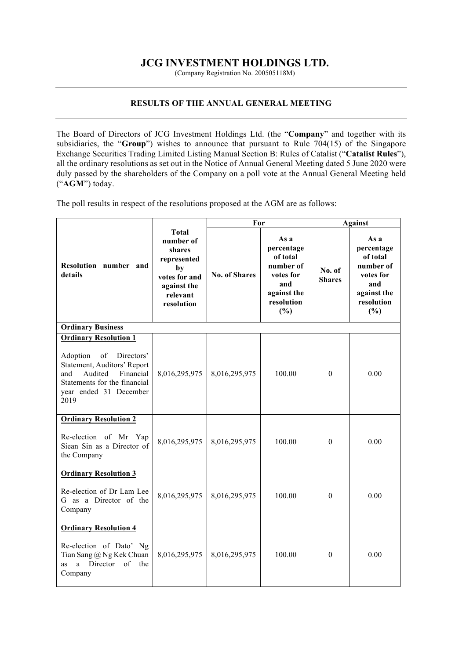## **JCG INVESTMENT HOLDINGS LTD.**

(Company Registration No. 200505118M)

## **RESULTS OF THE ANNUAL GENERAL MEETING**

The Board of Directors of JCG Investment Holdings Ltd. (the "**Company**" and together with its subsidiaries, the "**Group**") wishes to announce that pursuant to Rule 704(15) of the Singapore Exchange Securities Trading Limited Listing Manual Section B: Rules of Catalist ("**Catalist Rules**"), all the ordinary resolutions as set out in the Notice of Annual General Meeting dated 5 June 2020 were duly passed by the shareholders of the Company on a poll vote at the Annual General Meeting held ("**AGM**") today.

The poll results in respect of the resolutions proposed at the AGM are as follows:

|                                                                                                                                                                                              |                                                                                                             | For                  |                                                                                                     | <b>Against</b>          |                                                                                                     |  |  |  |
|----------------------------------------------------------------------------------------------------------------------------------------------------------------------------------------------|-------------------------------------------------------------------------------------------------------------|----------------------|-----------------------------------------------------------------------------------------------------|-------------------------|-----------------------------------------------------------------------------------------------------|--|--|--|
| Resolution number and<br>details                                                                                                                                                             | Total<br>number of<br>shares<br>represented<br>by<br>votes for and<br>against the<br>relevant<br>resolution | <b>No. of Shares</b> | As a<br>percentage<br>of total<br>number of<br>votes for<br>and<br>against the<br>resolution<br>(%) | No. of<br><b>Shares</b> | As a<br>percentage<br>of total<br>number of<br>votes for<br>and<br>against the<br>resolution<br>(%) |  |  |  |
| <b>Ordinary Business</b>                                                                                                                                                                     |                                                                                                             |                      |                                                                                                     |                         |                                                                                                     |  |  |  |
| <b>Ordinary Resolution 1</b><br>of<br>Adoption<br>Directors'<br>Statement, Auditors' Report<br>Audited<br>Financial<br>and<br>Statements for the financial<br>year ended 31 December<br>2019 | 8,016,295,975                                                                                               | 8,016,295,975        | 100.00                                                                                              | $\mathbf{0}$            | 0.00                                                                                                |  |  |  |
| <b>Ordinary Resolution 2</b>                                                                                                                                                                 |                                                                                                             |                      |                                                                                                     |                         |                                                                                                     |  |  |  |
| Re-election of Mr Yap<br>Siean Sin as a Director of<br>the Company                                                                                                                           | 8,016,295,975                                                                                               | 8,016,295,975        | 100.00                                                                                              | $\theta$                | 0.00                                                                                                |  |  |  |
| <b>Ordinary Resolution 3</b>                                                                                                                                                                 |                                                                                                             |                      |                                                                                                     |                         |                                                                                                     |  |  |  |
| Re-election of Dr Lam Lee<br>G as a Director of the<br>Company                                                                                                                               | 8,016,295,975                                                                                               | 8,016,295,975        | 100.00                                                                                              | $\theta$                | 0.00                                                                                                |  |  |  |
| <b>Ordinary Resolution 4</b>                                                                                                                                                                 |                                                                                                             |                      |                                                                                                     |                         |                                                                                                     |  |  |  |
| Re-election of Dato' Ng<br>Tian Sang @ Ng Kek Chuan<br>a Director<br>of<br>as<br>the<br>Company                                                                                              | 8,016,295,975                                                                                               | 8,016,295,975        | 100.00                                                                                              | $\mathbf{0}$            | 0.00                                                                                                |  |  |  |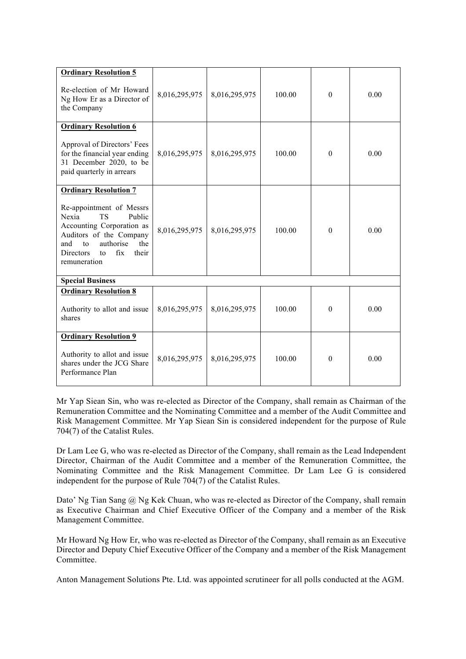| <b>Ordinary Resolution 5</b><br>Re-election of Mr Howard<br>Ng How Er as a Director of<br>the Company                                                                                                | 8,016,295,975 | 8,016,295,975 | 100.00 | $\theta$ | 0.00 |  |  |  |
|------------------------------------------------------------------------------------------------------------------------------------------------------------------------------------------------------|---------------|---------------|--------|----------|------|--|--|--|
| <b>Ordinary Resolution 6</b>                                                                                                                                                                         |               |               |        |          |      |  |  |  |
| Approval of Directors' Fees<br>for the financial year ending<br>31 December 2020, to be<br>paid quarterly in arrears                                                                                 | 8,016,295,975 | 8,016,295,975 | 100.00 | $\theta$ | 0.00 |  |  |  |
| <b>Ordinary Resolution 7</b>                                                                                                                                                                         |               |               |        |          |      |  |  |  |
| Re-appointment of Messrs<br>Nexia<br><b>TS</b><br>Public<br>Accounting Corporation as<br>Auditors of the Company<br>authorise<br>the<br>and<br>to<br>fix<br>Directors<br>their<br>to<br>remuneration | 8,016,295,975 | 8,016,295,975 | 100.00 | $\theta$ | 0.00 |  |  |  |
| <b>Special Business</b>                                                                                                                                                                              |               |               |        |          |      |  |  |  |
| <b>Ordinary Resolution 8</b><br>Authority to allot and issue<br>shares                                                                                                                               | 8,016,295,975 | 8,016,295,975 | 100.00 | $\Omega$ | 0.00 |  |  |  |
|                                                                                                                                                                                                      |               |               |        |          |      |  |  |  |
| <b>Ordinary Resolution 9</b><br>Authority to allot and issue<br>shares under the JCG Share<br>Performance Plan                                                                                       | 8,016,295,975 | 8,016,295,975 | 100.00 | $\theta$ | 0.00 |  |  |  |

Mr Yap Siean Sin, who was re-elected as Director of the Company, shall remain as Chairman of the Remuneration Committee and the Nominating Committee and a member of the Audit Committee and Risk Management Committee. Mr Yap Siean Sin is considered independent for the purpose of Rule 704(7) of the Catalist Rules.

Dr Lam Lee G, who was re-elected as Director of the Company, shall remain as the Lead Independent Director, Chairman of the Audit Committee and a member of the Remuneration Committee, the Nominating Committee and the Risk Management Committee. Dr Lam Lee G is considered independent for the purpose of Rule 704(7) of the Catalist Rules.

Dato' Ng Tian Sang @ Ng Kek Chuan, who was re-elected as Director of the Company, shall remain as Executive Chairman and Chief Executive Officer of the Company and a member of the Risk Management Committee.

Mr Howard Ng How Er, who was re-elected as Director of the Company, shall remain as an Executive Director and Deputy Chief Executive Officer of the Company and a member of the Risk Management **Committee** 

Anton Management Solutions Pte. Ltd. was appointed scrutineer for all polls conducted at the AGM.